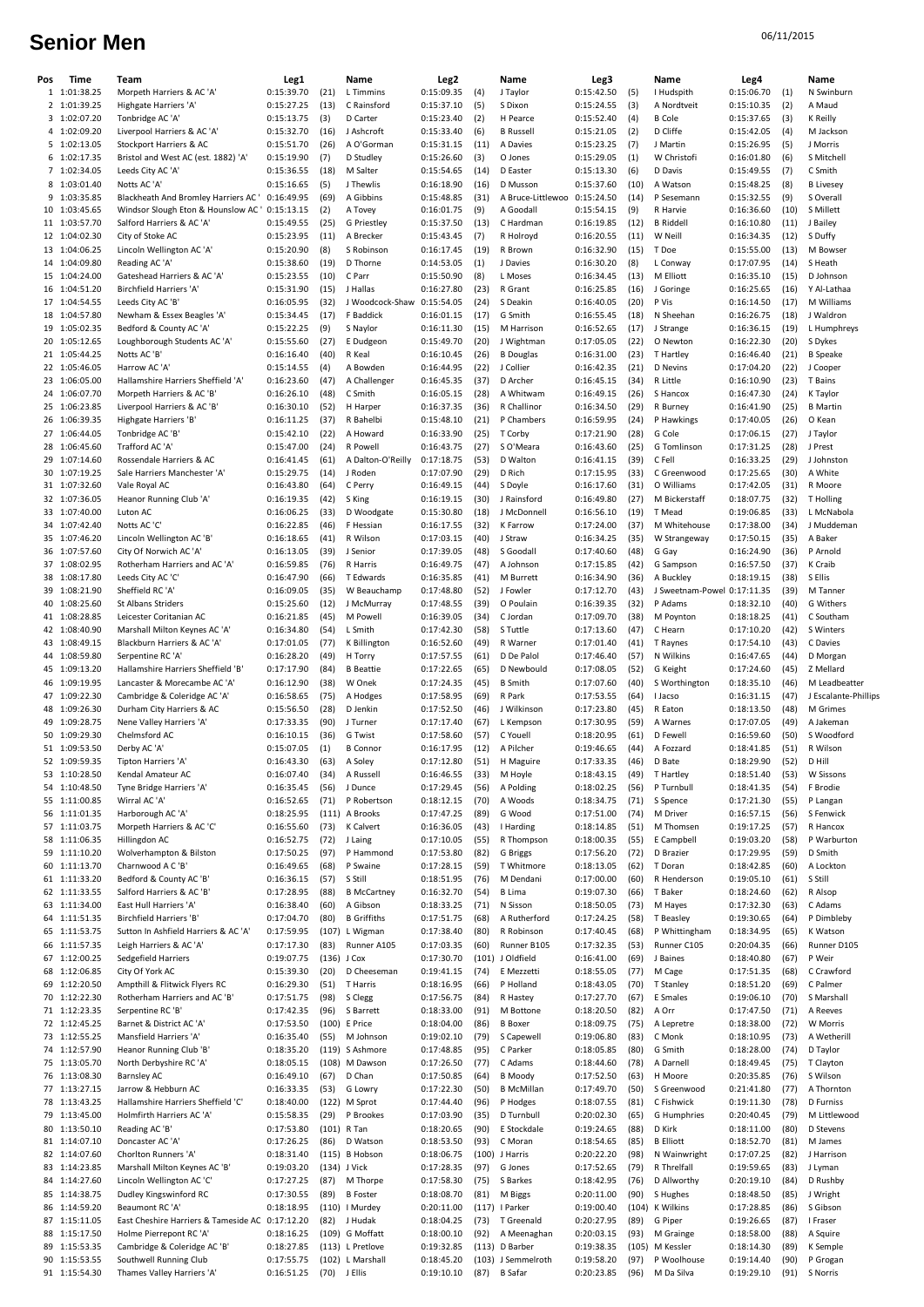## Senior Men<sup>o6/11/2015</sup>

| Pos | Time                           | Team                                                 | Leg1                     |               | Name                                 | Leg <sub>2</sub>         |              | Name                       | Leg3                     |              | Name                        | Leg4                     |              | Name                             |
|-----|--------------------------------|------------------------------------------------------|--------------------------|---------------|--------------------------------------|--------------------------|--------------|----------------------------|--------------------------|--------------|-----------------------------|--------------------------|--------------|----------------------------------|
|     | 1 1:01:38.25                   | Morpeth Harriers & AC 'A'                            | 0:15:39.70               | (21)          | L Timmins                            | 0:15:09.35               | (4)          | J Taylor                   | 0:15:42.50               | (5)          | I Hudspith                  | 0:15:06.70               | (1)          | N Swinburn                       |
|     | 2 1:01:39.25                   | Highgate Harriers 'A'                                | 0:15:27.25               | (13)          | C Rainsford                          | 0:15:37.10               | (5)          | S Dixon                    | 0:15:24.55               | (3)          | A Nordtveit                 | 0:15:10.35               | (2)          | A Maud                           |
|     | 3 1:02:07.20                   | Tonbridge AC 'A                                      | 0:15:13.75               | (3)           | D Carter                             | 0:15:23.40               | (2)          | H Pearce                   | 0:15:52.40               | (4)          | <b>B</b> Cole               | 0:15:37.65               | (3)          | <b>K</b> Reilly                  |
|     | 4 1:02:09.20                   | Liverpool Harriers & AC 'A'                          | 0:15:32.70               | (16)          | J Ashcroft                           | 0:15:33.40               | (6)          | <b>B</b> Russell           | 0:15:21.05               | (2)          | D Cliffe                    | 0:15:42.05               | (4)          | M Jackson                        |
|     | 5 1:02:13.05                   | Stockport Harriers & AC                              | 0:15:51.70               | (26)          | A O'Gorman                           | 0:15:31.15               | (11)         | A Davies                   | 0:15:23.25               | (7)          | J Martin                    | 0:15:26.95               | (5)          | J Morris                         |
|     | 6 1:02:17.35                   | Bristol and West AC (est. 1882) 'A'                  | 0:15:19.90               | (7)           | D Studley                            | 0:15:26.60               | (3)          | O Jones                    | 0:15:29.05               | (1)          | W Christofi                 | 0:16:01.80               | (6)          | S Mitchell                       |
|     | 7 1:02:34.05                   | Leeds City AC 'A'                                    | 0:15:36.55               | (18)          | M Salter                             | 0:15:54.65               | (14)         | D Easter                   | 0:15:13.30               | (6)          | D Davis                     | 0:15:49.55               | (7)          | C Smith                          |
|     | 8 1:03:01.40                   | Notts AC 'A'                                         | 0:15:16.65               | (5)           | J Thewlis                            | 0:16:18.90               | (16)         | D Musson                   | 0:15:37.60               | (10)         | A Watson                    | 0:15:48.25               | (8)          | <b>B</b> Livesey                 |
|     | 9 1:03:35.85                   | Blackheath And Bromley Harriers AC ' 0:16:49.95      |                          | (69)          | A Gibbins                            | 0:15:48.85               | (31)         | A Bruce-Littlewoo          | 0:15:24.50               | (14)         | P Sesemann                  | 0:15:32.55               | (9)          | S Overall                        |
|     | 10 1:03:45.65                  | Windsor Slough Eton & Hounslow AC '0:15:13.15        |                          | (2)           | A Tovey                              | 0:16:01.75               | (9)          | A Goodall                  | 0:15:54.15               | (9)          | R Harvie                    | 0:16:36.60               | (10)         | S Millett                        |
|     | 11 1:03:57.70                  | Salford Harriers & AC 'A'                            | 0:15:49.55               | (25)          | G Priestley                          | 0:15:37.50               | (13)         | C Hardman                  | 0:16:19.85               | (12)         | <b>B</b> Riddell            | 0:16:10.80               | (11)         | J Bailey                         |
|     | 12 1:04:02.30                  | City of Stoke AC                                     | 0:15:23.95               | (11)          | A Brecker                            | 0:15:43.45               | (7)          | R Holroyd                  | 0:16:20.55               | (11)         | W Neill                     | 0:16:34.35               | (12)         | S Duffy                          |
|     | 13 1:04:06.25                  | Lincoln Wellington AC 'A'                            | 0:15:20.90               | (8)           | S Robinson                           | 0:16:17.45               | (19)         | R Brown                    | 0:16:32.90               | (15)         | T Doe                       | 0:15:55.00               | (13)         | M Bowser                         |
|     | 14 1:04:09.80                  | Reading AC 'A'                                       | 0:15:38.60               | (19)          | D Thorne                             | 0:14:53.05               | (1)          | J Davies                   | 0:16:30.20               | (8)          | L Conway                    | 0:17:07.95               | (14)         | S Heath                          |
|     | 15 1:04:24.00                  | Gateshead Harriers & AC 'A'                          | 0:15:23.55               | (10)          | C Parr                               | 0:15:50.90               | (8)          | L Moses                    | 0:16:34.45               | (13)         | M Elliott                   | 0:16:35.10               | (15)         | D Johnson                        |
|     | 16 1:04:51.20                  | <b>Birchfield Harriers 'A'</b>                       | 0:15:31.90               | (15)          | J Hallas                             | 0:16:27.80               | (23)         | R Grant                    | 0:16:25.85               | (16)         | J Goringe                   | 0:16:25.65               | (16)         | Y Al-Lathaa                      |
|     | 17 1:04:54.55                  | Leeds City AC 'B                                     | 0:16:05.95               | (32)          | J Woodcock-Shaw                      | 0:15:54.05               | (24)         | S Deakin                   | 0:16:40.05               | (20)         | P Vis                       | 0:16:14.50               | (17)         | M Williams                       |
|     | 18 1:04:57.80                  | Newham & Essex Beagles 'A'                           | 0:15:34.45               | (17)          | F Baddick                            | 0:16:01.15               | (17)         | G Smith                    | 0:16:55.45               | (18)         | N Sheehan                   | 0:16:26.75               | (18)         | J Waldron                        |
|     | 19 1:05:02.35                  | Bedford & County AC 'A'                              | 0:15:22.25               | (9)           | S Naylor                             | 0:16:11.30               | (15)         | M Harrison                 | 0:16:52.65               | (17)         | J Strange                   | 0:16:36.15               | (19)         | L Humphreys                      |
|     | 20 1:05:12.65                  | Loughborough Students AC 'A'                         | 0:15:55.60               | (27)          | E Dudgeon                            | 0:15:49.70               | (20)         | J Wightman                 | 0:17:05.05               | (22)         | O Newton                    | 0:16:22.30               | (20)         | S Dykes                          |
|     | 21 1:05:44.25                  | Notts AC 'B                                          | 0:16:16.40               | (40)          | R Keal                               | 0:16:10.45               | (26)         | <b>B</b> Douglas           | 0:16:31.00               | (23)         | T Hartley                   | 0:16:46.40               | (21)         | <b>B</b> Speake                  |
|     | 22 1:05:46.05                  | Harrow AC 'A'                                        | 0:15:14.55               | (4)           | A Bowden                             | 0:16:44.95               | (22)         | J Collier                  | 0:16:42.35               | (21)         | D Nevins                    | 0:17:04.20               | (22)         | J Cooper                         |
|     | 23 1:06:05.00                  | Hallamshire Harriers Sheffield 'A'                   | 0:16:23.60               | (47)          | A Challenger                         | 0:16:45.35               | (37)         | D Archer                   | 0:16:45.15               | (34)         | R Little                    | 0:16:10.90               | (23)         | T Bains                          |
|     | 24 1:06:07.70                  | Morpeth Harriers & AC 'B'                            | 0:16:26.10               | (48)          | C Smith                              | 0:16:05.15               | (28)         | A Whitwam                  | 0:16:49.15               | (26)         | S Hancox                    | 0:16:47.30               | (24)         | K Taylor                         |
|     | 25 1:06:23.85                  | Liverpool Harriers & AC 'B                           | 0:16:30.10               | (52)          | H Harper                             | 0:16:37.35               | (36)         | R Challinor                | 0:16:34.50               | (29)         | R Burney                    | 0:16:41.90               | (25)         | <b>B</b> Martin                  |
|     | 26 1:06:39.35                  | Highgate Harriers 'B'                                | 0:16:11.25               | (37)          | R Bahelbi                            | 0:15:48.10               | (21)         | P Chambers                 | 0:16:59.95               | (24)         | P Hawkings                  | 0:17:40.05               | (26)         | O Kean                           |
|     | 27 1:06:44.05                  | Tonbridge AC 'B                                      | 0:15:42.10               | (22)          | A Howard                             | 0:16:33.90               | (25)         | T Corby                    | 0:17:21.90               | (28)         | G Cole                      | 0:17:06.15               | (27)         | J Taylor                         |
|     | 28 1:06:45.60                  | Trafford AC 'A                                       | 0:15:47.00               | (24)          | R Powell                             | 0:16:43.75               | (27)         | S O'Meara                  | 0:16:43.60               | (25)         | G Tomlinson                 | 0:17:31.25               | (28)         | J Prest                          |
|     | 29 1:07:14.60                  | Rossendale Harriers & AC                             | 0:16:41.45               | (61)          | A Dalton-O'Reilly                    | 0:17:18.75               | (53)         | D Walton                   | 0:16:41.15               | (39)         | C Fell                      | 0:16:33.25               | (29)         | J Johnston                       |
|     | 30 1:07:19.25                  | Sale Harriers Manchester 'A'                         | 0:15:29.75               | (14)          | J Roden                              | 0:17:07.90               | (29)         | D Rich                     | 0:17:15.95               | (33)         | C Greenwood                 | 0:17:25.65               | (30)         | A White                          |
|     | 31 1:07:32.60                  | Vale Royal AC                                        | 0:16:43.80               | (64)          | C Perry                              | 0:16:49.15               | (44)         | S Doyle                    | 0:16:17.60               | (31)         | O Williams                  | 0:17:42.05               | (31)         | R Moore                          |
|     | 32 1:07:36.05                  | Heanor Running Club 'A'                              | 0:16:19.35               | (42)          | S King                               | 0:16:19.15               | (30)         | J Rainsford                | 0:16:49.80               | (27)         | M Bickerstaff               | 0:18:07.75               | (32)         | T Holling                        |
|     | 33 1:07:40.00                  | Luton AC                                             | 0:16:06.25               | (33)          | D Woodgate                           | 0:15:30.80               | (18)         | J McDonnell                | 0:16:56.10               | (19)         | T Mead                      | 0:19:06.85               | (33)         | L McNabola                       |
|     | 34 1:07:42.40                  | Notts AC 'C'                                         | 0:16:22.85               | (46)          | F Hessian                            | 0:16:17.55               | (32)         | K Farrow                   | 0:17:24.00               | (37)         | M Whitehouse                | 0:17:38.00               | (34)         | J Muddeman                       |
|     | 35 1:07:46.20                  | Lincoln Wellington AC 'B'                            | 0:16:18.65               | (41)          | R Wilson                             | 0:17:03.15               | (40)         | J Straw                    | 0:16:34.25               | (35)         | W Strangeway                | 0:17:50.15               | (35)         | A Baker                          |
|     | 36 1:07:57.60                  | City Of Norwich AC 'A'                               | 0:16:13.05               | (39)          | J Senior                             | 0:17:39.05               | (48)         | S Goodall                  | 0:17:40.60               | (48)         | G Gay                       | 0:16:24.90               | (36)         | P Arnold                         |
|     | 37 1:08:02.95                  | Rotherham Harriers and AC 'A'                        | 0:16:59.85               | (76)          | R Harris                             | 0:16:49.75               | (47)         | A Johnson                  | 0:17:15.85               | (42)         | G Sampson                   | 0:16:57.50               | (37)         | K Craib                          |
|     | 38 1:08:17.80                  | Leeds City AC 'C'                                    | 0:16:47.90               | (66)          | T Edwards                            | 0:16:35.85               | (41)         | M Burrett                  | 0:16:34.90               | (36)         | A Buckley                   | 0:18:19.15               | (38)         | S Ellis                          |
|     | 39 1:08:21.90                  | Sheffield RC 'A'                                     | 0:16:09.05               | (35)          | W Beauchamp                          | 0:17:48.80               | (52)         | J Fowler                   | 0:17:12.70               | (43)         | J Sweetnam-Powel 0:17:11.35 |                          | (39)         | M Tanner                         |
|     | 40 1:08:25.60                  | St Albans Striders                                   | 0:15:25.60               | (12)          | J McMurray                           | 0:17:48.55               | (39)         | O Poulain                  | 0:16:39.35               | (32)         | P Adams                     | 0:18:32.10               | (40)         | G Withers                        |
|     | 41 1:08:28.85                  | Leicester Coritanian AC                              | 0:16:21.85               | (45)          | M Powell                             | 0:16:39.05               | (34)         | C Jordan                   | 0:17:09.70               | (38)         | M Poynton                   | 0:18:18.25               | (41)         | C Southam                        |
|     | 42 1:08:40.90                  | Marshall Milton Keynes AC 'A'                        | 0:16:34.80               | (54)          | L Smith                              | 0:17:42.30               | (58)         | S Tuttle                   | 0:17:13.60               | (47)         | C Hearn                     | 0:17:10.20               | (42)         | S Winters                        |
|     | 43 1:08:49.15                  | Blackburn Harriers & AC 'A'                          | 0:17:01.05               | (77)          | K Billington                         | 0:16:52.60               | (49)         | R Warner                   | 0:17:01.40               | (41)         | T Raynes                    | 0:17:54.10               | (43)         | C Davies                         |
|     | 44 1:08:59.80                  | Serpentine RC 'A'                                    | 0:16:28.20               | (49)          | H Torry                              | 0:17:57.55               | (61)         | D De Palol                 | 0:17:46.40               | (57)         | N Wilkins                   | 0:16:47.65               | (44)         | D Morgan                         |
|     | 45 1:09:13.20                  | Hallamshire Harriers Sheffield 'B'                   | 0:17:17.90               | (84)          | <b>B</b> Beattie                     | 0:17:22.65               | (65)         | D Newbould                 | 0:17:08.05               | (52)         | G Keight                    | 0:17:24.60               | (45)         | Z Mellard                        |
|     | 46 1:09:19.95                  | Lancaster & Morecambe AC 'A'                         | 0:16:12.90               | (38)          | W Onek                               | 0:17:24.35               | (45)         | <b>B</b> Smith             | 0:17:07.60               | (40)         | S Worthington               | 0:18:35.10               | (46)         | M Leadbeatter                    |
|     | 47 1:09:22.30<br>48 1:09:26.30 | Cambridge & Coleridge AC 'A'                         | 0:16:58.65               | (75)          | A Hodges                             | 0:17:58.95               | (69)         | R Park                     | 0:17:53.55               | (64)<br>(45) | I Jacso                     | 0:16:31.15<br>0:18:13.50 | (47)         | J Escalante-Phillips<br>M Grimes |
|     |                                | Durham City Harriers & AC                            | 0:15:56.50<br>0:17:33.35 | (28)          | D Jenkin                             | 0:17:52.50<br>0:17:17.40 | (46)         | J Wilkinson                | 0:17:23.80               |              | R Eaton                     |                          | (48)         |                                  |
|     | 49 1:09:28.75<br>50 1:09:29.30 | Nene Valley Harriers 'A'                             |                          | (90)          | J Turner                             |                          | (67)<br>(57) | L Kempson                  | 0:17:30.95               | (59)<br>(61) | A Warnes<br>D Fewell        | 0:17:07.05               | (49)<br>(50) | A Jakeman<br>S Woodford          |
|     | 51 1:09:53.50                  | Chelmsford AC                                        | 0:16:10.15<br>0:15:07.05 | (36)<br>(1)   | G Twist                              | 0:17:58.60               | (12)         | C Youell<br>A Pilcher      | 0:18:20.95<br>0:19:46.65 | (44)         |                             | 0:16:59.60               | (51)         | R Wilson                         |
|     | 52 1:09:59.35                  | Derby AC 'A'<br>Tipton Harriers 'A'                  | 0:16:43.30               | (63)          | <b>B</b> Connor<br>A Soley           | 0:16:17.95<br>0:17:12.80 |              | H Maguire                  | 0:17:33.35               | (46)         | A Fozzard<br>D Bate         | 0:18:41.85<br>0:18:29.90 | (52)         | D Hill                           |
|     | 53 1:10:28.50                  | Kendal Amateur AC                                    | 0:16:07.40               | (34)          | A Russell                            | 0:16:46.55               | (51)<br>(33) |                            | 0:18:43.15               | (49)         | T Hartley                   | 0:18:51.40               | (53)         | W Sissons                        |
|     | 54 1:10:48.50                  | Tyne Bridge Harriers 'A'                             | 0:16:35.45               | (56)          |                                      | 0:17:29.45               | (56)         | M Hoyle                    | 0:18:02.25               |              |                             | 0:18:41.35               |              |                                  |
|     | 55 1:11:00.85                  | Wirral AC 'A'                                        | 0:16:52.65               | (71)          | J Dunce<br>P Robertson               | 0:18:12.15               | (70)         | A Polding<br>A Woods       |                          | (56)<br>(71) | P Turnbull<br>S Spence      | 0:17:21.30               | (54)<br>(55) | F Brodie<br>P Langan             |
|     | 56 1:11:01.35                  |                                                      |                          | (111)         |                                      | 0:17:47.25               | (89)         |                            | 0:18:34.75               |              |                             |                          |              |                                  |
|     | 57 1:11:03.75                  | Harborough AC 'A'<br>Morpeth Harriers & AC 'C'       | 0:18:25.95               | (73)          | A Brooks<br>K Calvert                |                          | (43)         | G Wood                     | 0:17:51.00               | (74)<br>(51) | M Driver<br>M Thomsen       | 0:16:57.15               | (56)<br>(57) | S Fenwick<br>R Hancox            |
|     | 58 1:11:06.35                  | Hillingdon AC                                        | 0:16:55.60<br>0:16:52.75 | (72)          | J Laing                              | 0:16:36.05<br>0:17:10.05 | (55)         | I Harding<br>R Thompson    | 0:18:14.85<br>0:18:00.35 | (55)         | E Campbell                  | 0:19:17.25<br>0:19:03.20 | (58)         | P Warburton                      |
|     | 59 1:11:10.20                  | Wolverhampton & Bilston                              | 0:17:50.25               | (97)          | P Hammond                            | 0:17:53.80               | (82)         |                            | 0:17:56.20               | (72)         | D Brazier                   | 0:17:29.95               | (59)         | D Smith                          |
|     | 60 1:11:13.70                  | Charnwood A C 'B'                                    | 0:16:49.65               | (68)          | P Swaine                             | 0:17:28.15               | (59)         | G Briggs<br>T Whitmore     | 0:18:13.05               | (62)         | T Doran                     | 0:18:42.85               | (60)         | A Lockton                        |
|     |                                |                                                      |                          |               |                                      |                          |              |                            |                          |              |                             | 0:19:05.10               |              |                                  |
|     | 61 1:11:33.20<br>62 1:11:33.55 | Bedford & County AC 'B'<br>Salford Harriers & AC 'B' | 0:16:36.15<br>0:17:28.95 | (57)<br>(88)  | S Still<br><b>B</b> McCartney        | 0:18:51.95<br>0:16:32.70 | (76)<br>(54) | M Dendani<br><b>B</b> Lima | 0:17:00.00<br>0:19:07.30 | (60)<br>(66) | R Henderson<br>T Baker      | 0:18:24.60               | (61)<br>(62) | S Still<br>R Alsop               |
|     | 63 1:11:34.00                  | East Hull Harriers 'A'                               |                          | (60)          |                                      |                          |              |                            |                          |              |                             | 0:17:32.30               |              | C Adams                          |
|     | 64 1:11:51.35                  | <b>Birchfield Harriers 'B'</b>                       | 0:16:38.40<br>0:17:04.70 |               | A Gibson                             | 0:18:33.25               | (71)         | N Sisson                   | 0:18:50.05<br>0:17:24.25 | (73)         | M Hayes                     |                          | (63)         |                                  |
|     | 65 1:11:53.75                  | Sutton In Ashfield Harriers & AC 'A'                 | 0:17:59.95               | (80)          | <b>B</b> Griffiths<br>(107) L Wigman | 0:17:51.75<br>0:17:38.40 | (68)<br>(80) | A Rutherford<br>R Robinson | 0:17:40.45               | (58)<br>(68) | T Beasley<br>P Whittingham  | 0:19:30.65<br>0:18:34.95 | (64)<br>(65) | P Dimbleby<br>K Watson           |
|     | 66 1:11:57.35                  | Leigh Harriers & AC 'A'                              | 0:17:17.30               | (83)          | Runner A105                          | 0:17:03.35               | (60)         | Runner B105                | 0:17:32.35               | (53)         | Runner C105                 | 0:20:04.35               | (66)         | Runner D105                      |
|     | 67 1:12:00.25                  | Sedgefield Harriers                                  | 0:19:07.75               | $(136)$ J Cox |                                      | 0:17:30.70               |              | (101) J Oldfield           | 0:16:41.00               | (69)         | J Baines                    | 0:18:40.80               | (67)         | P Weir                           |
|     | 68 1:12:06.85                  | City Of York AC                                      | 0:15:39.30               | (20)          | D Cheeseman                          | 0:19:41.15               | (74)         | E Mezzetti                 | 0:18:55.05               | (77)         | M Cage                      | 0:17:51.35               | (68)         | C Crawford                       |
|     | 69 1:12:20.50                  | Ampthill & Flitwick Flyers RC                        | 0:16:29.30               | (51)          | T Harris                             | 0:18:16.95               | (66)         | P Holland                  | 0:18:43.05               | (70)         | T Stanley                   | 0:18:51.20               | (69)         | C Palmer                         |
|     | 70 1:12:22.30                  | Rotherham Harriers and AC 'B'                        | 0:17:51.75               | (98)          | S Clegg                              | 0:17:56.75               | (84)         | R Hastey                   | 0:17:27.70               | (67)         | E Smales                    | 0:19:06.10               | (70)         | S Marshall                       |
|     | 71 1:12:23.35                  | Serpentine RC 'B'                                    | 0:17:42.35               | (96)          | S Barrett                            | 0:18:33.00               | (91)         | M Bottone                  | 0:18:20.50               | (82)         | A Orr                       | 0:17:47.50               | (71)         | A Reeves                         |
|     | 72 1:12:45.25                  | Barnet & District AC 'A'                             | 0:17:53.50               |               | (100) E Price                        | 0:18:04.00               | (86)         | <b>B</b> Boxer             | 0:18:09.75               | (75)         | A Lepretre                  | 0:18:38.00               | (72)         | W Morris                         |
|     | 73 1:12:55.25                  | Mansfield Harriers 'A'                               | 0:16:35.40               | (55)          | M Johnson                            | 0:19:02.10               | (79)         | S Capewell                 | 0:19:06.80               | (83)         | C Monk                      | 0:18:10.95               | (73)         | A Wetherill                      |
|     | 74 1:12:57.90                  | Heanor Running Club 'B                               | 0:18:35.20               |               | (119) S Ashmore                      | 0:17:48.85               | (95)         | C Parker                   | 0:18:05.85               | (80)         | G Smith                     | 0:18:28.00               | (74)         | D Taylor                         |
|     | 75 1:13:05.70                  | North Derbyshire RC 'A'                              | 0:18:05.15               |               | (108) M Dawson                       | 0:17:26.50               | (77)         | C Adams                    | 0:18:44.60               | (78)         | A Darnell                   | 0:18:49.45               | (75)         | T Clayton                        |
|     | 76 1:13:08.30                  | <b>Barnsley AC</b>                                   | 0:16:49.10               | (67)          | D Chan                               | 0:17:50.85               | (64)         | <b>B</b> Moody             | 0:17:52.50               | (63)         | H Moore                     | 0:20:35.85               | (76)         | S Wilson                         |
|     | 77 1:13:27.15                  | Jarrow & Hebburn AC                                  | 0:16:33.35               | (53)          | G Lowry                              | 0:17:22.30               | (50)         | <b>B</b> McMillan          | 0:17:49.70               | (50)         | S Greenwood                 | 0:21:41.80               | (77)         | A Thornton                       |
|     | 78 1:13:43.25                  | Hallamshire Harriers Sheffield 'C'                   | 0:18:40.00               |               | (122) M Sprot                        | 0:17:44.40               | (96)         | P Hodges                   | 0:18:07.55               | (81)         | C Fishwick                  | 0:19:11.30               | (78)         | D Furniss                        |
|     | 79 1:13:45.00                  | Holmfirth Harriers AC 'A'                            | 0:15:58.35               | (29)          | P Brookes                            | 0:17:03.90               | (35)         | D Turnbull                 | 0:20:02.30               | (65)         | G Humphries                 | 0:20:40.45               | (79)         | M Littlewood                     |
|     | 80 1:13:50.10                  | Reading AC 'B'                                       | 0:17:53.80               | (101) R Tan   |                                      | 0:18:20.65               | (90)         | E Stockdale                | 0:19:24.65               | (88)         | D Kirk                      | 0:18:11.00               | (80)         | D Stevens                        |
|     | 81 1:14:07.10                  | Doncaster AC 'A'                                     | 0:17:26.25               | (86)          | D Watson                             | 0:18:53.50               | (93)         | C Moran                    | 0:18:54.65               | (85)         | <b>B</b> Elliott            | 0:18:52.70               | (81)         | M James                          |
|     | 82 1:14:07.60                  | Chorlton Runners 'A'                                 | 0:18:31.40               |               | (115) B Hobson                       | 0:18:06.75               |              | $(100)$ J Harris           | 0:20:22.20               | (98)         | N Wainwright                | 0:17:07.25               | (82)         | J Harrison                       |
|     | 83 1:14:23.85                  | Marshall Milton Keynes AC 'B'                        | 0:19:03.20               | (134) J Vick  |                                      | 0:17:28.35               | (97)         | G Jones                    | 0:17:52.65               | (79)         | R Threlfall                 | 0:19:59.65               | (83)         | J Lyman                          |
|     | 84 1:14:27.60                  | Lincoln Wellington AC 'C'                            | 0:17:27.25               | (87)          | M Thorpe                             | 0:17:58.30               | (75)         | S Barkes                   | 0:18:42.95               | (76)         | D Allworthy                 | 0:20:19.10               | (84)         | D Rushby                         |
|     | 85 1:14:38.75                  | Dudley Kingswinford RC                               | 0:17:30.55               | (89)          | <b>B</b> Foster                      | 0:18:08.70               | (81)         | M Biggs                    | 0:20:11.00               | (90)         | S Hughes                    | 0:18:48.50               | (85)         | J Wright                         |
|     | 86 1:14:59.20                  | Beaumont RC 'A'                                      | 0:18:18.95               |               | (110) I Murdey                       | 0:20:11.00               |              | $(117)$ I Parker           | 0:19:00.40               | (104)        | K Wilkins                   | 0:17:28.85               | (86)         | S Gibson                         |
|     | 87 1:15:11.05                  | East Cheshire Harriers & Tameside AC 0:17:12.20      |                          | (82)          | J Hudak                              | 0:18:04.25               | (73)         | T Greenald                 | 0:20:27.95               | (89)         | G Piper                     | 0:19:26.65               | (87)         | I Fraser                         |
|     | 88 1:15:17.50                  | Holme Pierrepont RC 'A'                              | 0:18:16.25               |               | (109) G Moffatt                      | 0:18:00.10               | (92)         | A Meenaghan                | 0:20:03.15               | (93)         | M Grainge                   | 0:18:58.00               | (88)         | A Squire                         |
|     | 89 1:15:53.35                  | Cambridge & Coleridge AC 'B'                         | 0:18:27.85               |               | (113) L Pretlove                     | 0:19:32.85               |              | (113) D Barber             | 0:19:38.35               | (105)        | M Kessler                   | 0:18:14.30               | (89)         | K Semple                         |
|     | 90 1:15:53.55                  | Southwell Running Club                               | 0:17:55.75               |               | (102) L Marshall                     | 0:18:45.20               |              | (103) J Semmelroth         | 0:19:58.20               | (97)         | P Woolhouse                 | 0:19:14.40               | (90)         | P Grogan                         |
|     | 91 1:15:54.30                  | Thames Valley Harriers 'A'                           | 0:16:51.25               | (70)          | J Ellis                              | 0:19:10.10               | (87)         | <b>B</b> Safar             | 0:20:23.85               | (96)         | M Da Silva                  | 0:19:29.10               | (91)         | S Norris                         |
|     |                                |                                                      |                          |               |                                      |                          |              |                            |                          |              |                             |                          |              |                                  |